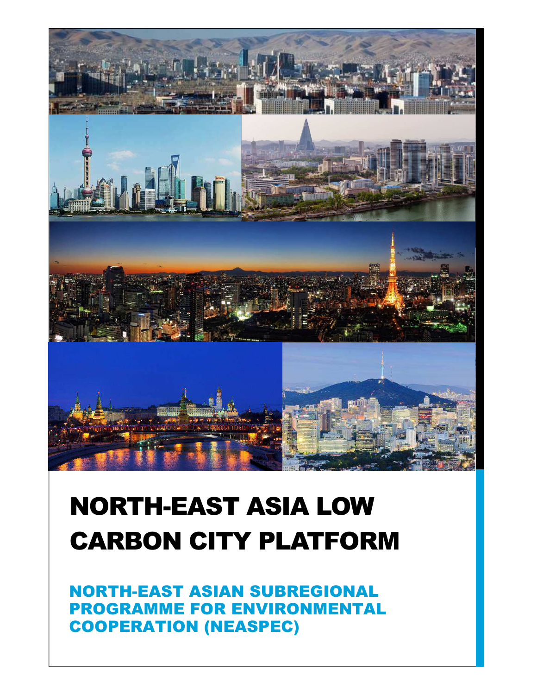

# NORTH-EAST ASIA LOW CARBON CITY PLATFORM

(NAPTH FAST AS) NORTH-EAST ASIAN SUBREGIONAL PROGRAMME FOR ENVIRONMENTAL COOPERATION (NEASPEC)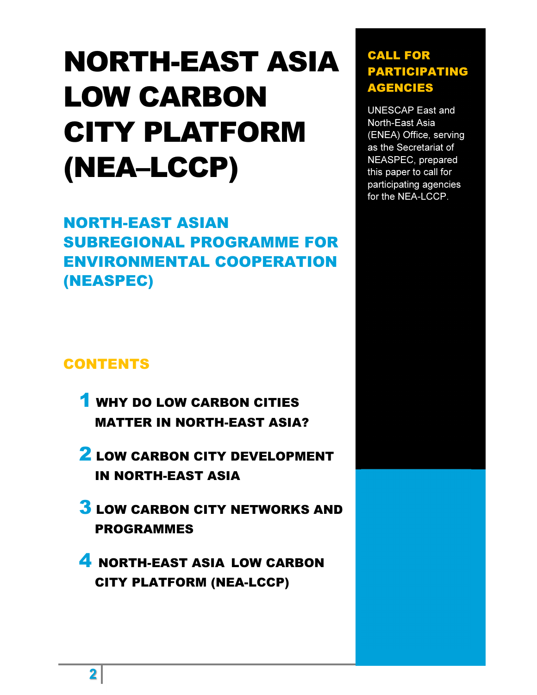# NORTH-EAST ASIA LOW CARBON CITY PLATFORM (NEA–LCCP)

### NORTH-EAST ASIAN SUBREGIONAL PROGRAMME FOR ENVIRONMENTAL COOPERATION (NEASPEC)

### CONTENTS

- **1 WHY DO LOW CARBON CITIES** MATTER IN NORTH-EAST ASIA?
- **2 LOW CARBON CITY DEVELOPMENT** IN NORTH-EAST ASIA
- **3 LOW CARBON CITY NETWORKS AND** PROGRAMMES
- 4 NORTH-EAST ASIA LOW CARBON CITY PLATFORM (NEA-LCCP)

### CALL FOR PARTICIPATING AGENCIES

UNESCAP East and North-East Asia (ENEA) Office, serving as the Secretariat of NEASPEC, prepared this paper to call for participating agencies for the NEA-LCCP.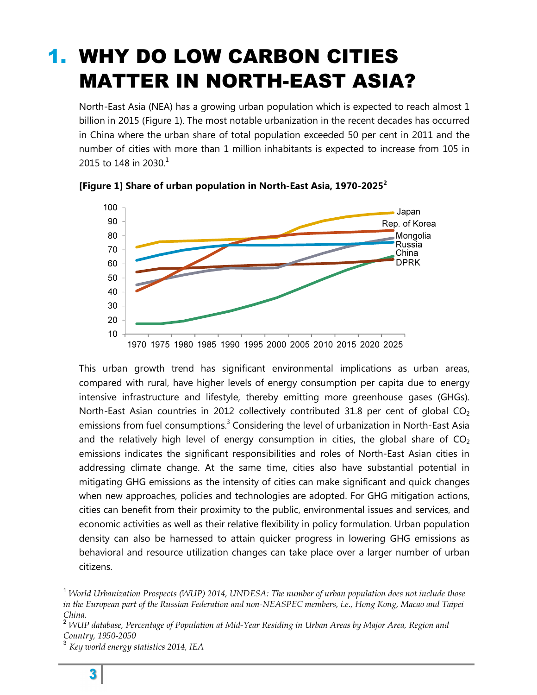# 1. WHY DO LOW CARBON CITIES MATTER IN NORTH-EAST ASIA?

North-East Asia (NEA) has a growing urban population which is expected to reach almost 1 billion in 2015 (Figure 1). The most notable urbanization in the recent decades has occurred in China where the urban share of total population exceeded 50 per cent in 2011 and the number of cities with more than 1 million inhabitants is expected to increase from 105 in 2015 to 148 in 2030. $^{\rm 1}$ 





This urban growth trend has significant environmental implications as urban areas, compared with rural, have higher levels of energy consumption per capita due to energy intensive infrastructure and lifestyle, thereby emitting more greenhouse gases (GHGs). North-East Asian countries in 2012 collectively contributed 31.8 per cent of global  $CO<sub>2</sub>$ emissions from fuel consumptions. $^3$  Considering the level of urbanization in North-East Asia and the relatively high level of energy consumption in cities, the global share of  $CO<sub>2</sub>$ emissions indicates the significant responsibilities and roles of North-East Asian cities in addressing climate change. At the same time, cities also have substantial potential in mitigating GHG emissions as the intensity of cities can make significant and quick changes when new approaches, policies and technologies are adopted. For GHG mitigation actions, cities can benefit from their proximity to the public, environmental issues and services, and economic activities as well as their relative flexibility in policy formulation. Urban population density can also be harnessed to attain quicker progress in lowering GHG emissions as behavioral and resource utilization changes can take place over a larger number of urban citizens.

 $\overline{a}$ 

<sup>1</sup> *World Urbanization Prospects (WUP) 2014, UNDESA: The number of urban population does not include those in the European part of the Russian Federation and non-NEASPEC members, i.e., Hong Kong, Macao and Taipei China.* 

<sup>2</sup> *WUP database, Percentage of Population at Mid-Year Residing in Urban Areas by Major Area, Region and Country, 1950-2050* 

<sup>3</sup> *Key world energy statistics 2014, IEA*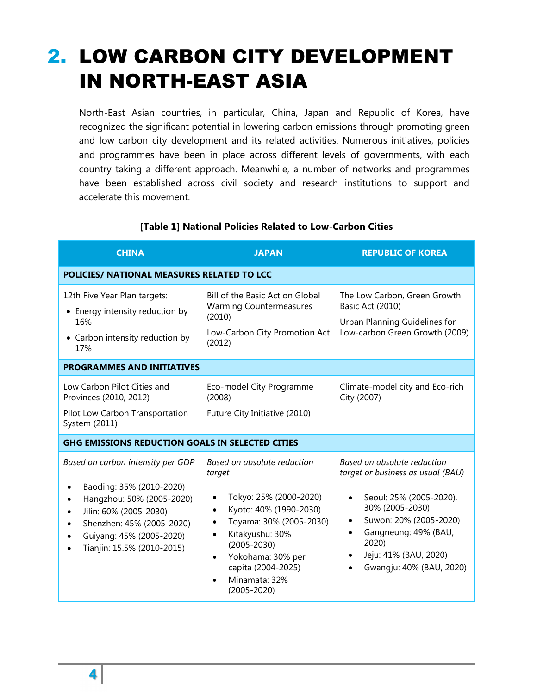# 2. LOW CARBON CITY DEVELOPMENT IN NORTH-EAST ASIA

North-East Asian countries, in particular, China, Japan and Republic of Korea, have recognized the significant potential in lowering carbon emissions through promoting green and low carbon city development and its related activities. Numerous initiatives, policies and programmes have been in place across different levels of governments, with each country taking a different approach. Meanwhile, a number of networks and programmes have been established across civil society and research institutions to support and accelerate this movement.

| <b>CHINA</b>                                                                                                                                                                                                | <b>JAPAN</b>                                                                                                                                                                                                                                                                                  | <b>REPUBLIC OF KOREA</b>                                                                                                                                                                                                                                              |  |  |  |  |  |  |  |
|-------------------------------------------------------------------------------------------------------------------------------------------------------------------------------------------------------------|-----------------------------------------------------------------------------------------------------------------------------------------------------------------------------------------------------------------------------------------------------------------------------------------------|-----------------------------------------------------------------------------------------------------------------------------------------------------------------------------------------------------------------------------------------------------------------------|--|--|--|--|--|--|--|
|                                                                                                                                                                                                             | POLICIES/ NATIONAL MEASURES RELATED TO LCC                                                                                                                                                                                                                                                    |                                                                                                                                                                                                                                                                       |  |  |  |  |  |  |  |
| 12th Five Year Plan targets:<br>• Energy intensity reduction by<br>16%<br>• Carbon intensity reduction by<br>17%                                                                                            | Bill of the Basic Act on Global<br><b>Warming Countermeasures</b><br>(2010)<br>Low-Carbon City Promotion Act<br>(2012)                                                                                                                                                                        | The Low Carbon, Green Growth<br>Basic Act (2010)<br>Urban Planning Guidelines for<br>Low-carbon Green Growth (2009)                                                                                                                                                   |  |  |  |  |  |  |  |
| <b>PROGRAMMES AND INITIATIVES</b>                                                                                                                                                                           |                                                                                                                                                                                                                                                                                               |                                                                                                                                                                                                                                                                       |  |  |  |  |  |  |  |
| Low Carbon Pilot Cities and<br>Provinces (2010, 2012)<br>Pilot Low Carbon Transportation                                                                                                                    | Eco-model City Programme<br>(2008)<br>Future City Initiative (2010)                                                                                                                                                                                                                           | Climate-model city and Eco-rich<br>City (2007)                                                                                                                                                                                                                        |  |  |  |  |  |  |  |
| System (2011)                                                                                                                                                                                               |                                                                                                                                                                                                                                                                                               |                                                                                                                                                                                                                                                                       |  |  |  |  |  |  |  |
| <b>GHG EMISSIONS REDUCTION GOALS IN SELECTED CITIES</b>                                                                                                                                                     |                                                                                                                                                                                                                                                                                               |                                                                                                                                                                                                                                                                       |  |  |  |  |  |  |  |
| Based on carbon intensity per GDP<br>Baoding: 35% (2010-2020)<br>Hangzhou: 50% (2005-2020)<br>Jilin: 60% (2005-2030)<br>Shenzhen: 45% (2005-2020)<br>Guiyang: 45% (2005-2020)<br>Tianjin: 15.5% (2010-2015) | Based on absolute reduction<br>target<br>Tokyo: 25% (2000-2020)<br>$\bullet$<br>Kyoto: 40% (1990-2030)<br>$\bullet$<br>Toyama: 30% (2005-2030)<br>$\bullet$<br>Kitakyushu: 30%<br>$\bullet$<br>$(2005 - 2030)$<br>Yokohama: 30% per<br>capita (2004-2025)<br>Minamata: 32%<br>$(2005 - 2020)$ | Based on absolute reduction<br>target or business as usual (BAU)<br>Seoul: 25% (2005-2020),<br>$\bullet$<br>30% (2005-2030)<br>Suwon: 20% (2005-2020)<br>$\bullet$<br>Gangneung: 49% (BAU,<br>2020)<br>Jeju: 41% (BAU, 2020)<br>$\bullet$<br>Gwangju: 40% (BAU, 2020) |  |  |  |  |  |  |  |

### [Table 1] National Policies Related to Low-Carbon Cities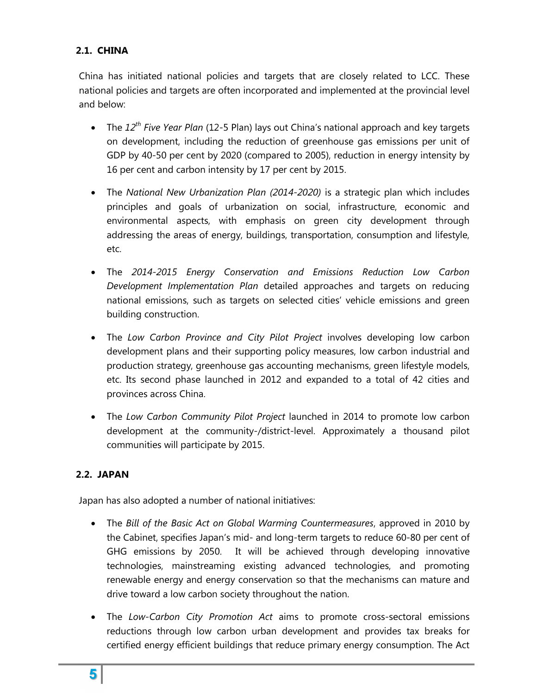### 2.1. CHINA

China has initiated national policies and targets that are closely related to LCC. These national policies and targets are often incorporated and implemented at the provincial level and below:

- The  $12^{th}$  Five Year Plan (12-5 Plan) lays out China's national approach and key targets on development, including the reduction of greenhouse gas emissions per unit of GDP by 40-50 per cent by 2020 (compared to 2005), reduction in energy intensity by 16 per cent and carbon intensity by 17 per cent by 2015.
- The National New Urbanization Plan (2014-2020) is a strategic plan which includes principles and goals of urbanization on social, infrastructure, economic and environmental aspects, with emphasis on green city development through addressing the areas of energy, buildings, transportation, consumption and lifestyle, etc.
- The 2014-2015 Energy Conservation and Emissions Reduction Low Carbon Development Implementation Plan detailed approaches and targets on reducing national emissions, such as targets on selected cities' vehicle emissions and green building construction.
- The Low Carbon Province and City Pilot Project involves developing low carbon development plans and their supporting policy measures, low carbon industrial and production strategy, greenhouse gas accounting mechanisms, green lifestyle models, etc. Its second phase launched in 2012 and expanded to a total of 42 cities and provinces across China.
- The Low Carbon Community Pilot Project launched in 2014 to promote low carbon development at the community-/district-level. Approximately a thousand pilot communities will participate by 2015.

### 2.2. JAPAN

Japan has also adopted a number of national initiatives:

- The Bill of the Basic Act on Global Warming Countermeasures, approved in 2010 by the Cabinet, specifies Japan's mid- and long-term targets to reduce 60-80 per cent of GHG emissions by 2050. It will be achieved through developing innovative technologies, mainstreaming existing advanced technologies, and promoting renewable energy and energy conservation so that the mechanisms can mature and drive toward a low carbon society throughout the nation.
- The Low-Carbon City Promotion Act aims to promote cross-sectoral emissions reductions through low carbon urban development and provides tax breaks for certified energy efficient buildings that reduce primary energy consumption. The Act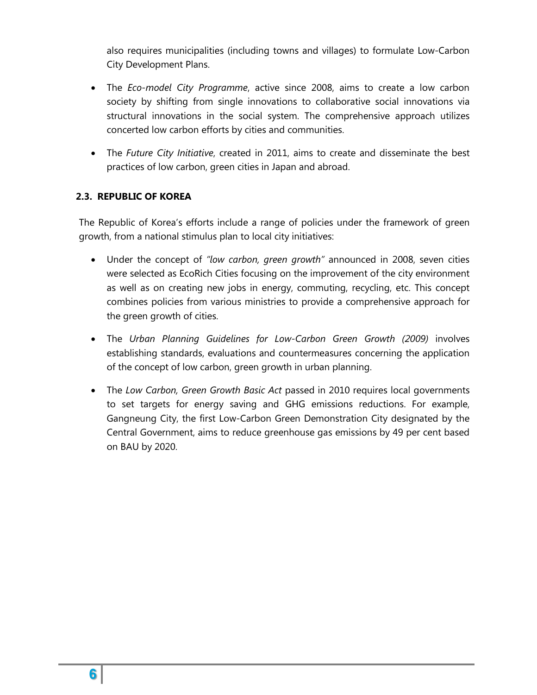also requires municipalities (including towns and villages) to formulate Low-Carbon City Development Plans.

- The Eco-model City Programme, active since 2008, aims to create a low carbon society by shifting from single innovations to collaborative social innovations via structural innovations in the social system. The comprehensive approach utilizes concerted low carbon efforts by cities and communities.
- The Future City Initiative, created in 2011, aims to create and disseminate the best practices of low carbon, green cities in Japan and abroad.

### 2.3. REPUBLIC OF KOREA

The Republic of Korea's efforts include a range of policies under the framework of green growth, from a national stimulus plan to local city initiatives:

- Under the concept of "low carbon, green growth" announced in 2008, seven cities were selected as EcoRich Cities focusing on the improvement of the city environment as well as on creating new jobs in energy, commuting, recycling, etc. This concept combines policies from various ministries to provide a comprehensive approach for the green growth of cities.
- The Urban Planning Guidelines for Low-Carbon Green Growth (2009) involves establishing standards, evaluations and countermeasures concerning the application of the concept of low carbon, green growth in urban planning.
- The Low Carbon, Green Growth Basic Act passed in 2010 requires local governments to set targets for energy saving and GHG emissions reductions. For example, Gangneung City, the first Low-Carbon Green Demonstration City designated by the Central Government, aims to reduce greenhouse gas emissions by 49 per cent based on BAU by 2020.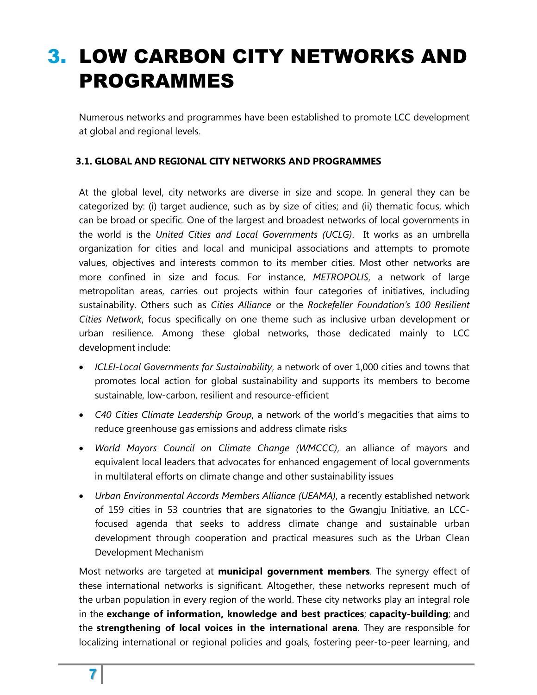# 3. LOW CARBON CITY NETWORKS AND PROGRAMMES

Numerous networks and programmes have been established to promote LCC development at global and regional levels.

### 3.1. GLOBAL AND REGIONAL CITY NETWORKS AND PROGRAMMES

At the global level, city networks are diverse in size and scope. In general they can be categorized by: (i) target audience, such as by size of cities; and (ii) thematic focus, which can be broad or specific. One of the largest and broadest networks of local governments in the world is the United Cities and Local Governments (UCLG). It works as an umbrella organization for cities and local and municipal associations and attempts to promote values, objectives and interests common to its member cities. Most other networks are more confined in size and focus. For instance, METROPOLIS, a network of large metropolitan areas, carries out projects within four categories of initiatives, including sustainability. Others such as Cities Alliance or the Rockefeller Foundation's 100 Resilient Cities Network, focus specifically on one theme such as inclusive urban development or urban resilience. Among these global networks, those dedicated mainly to LCC development include:

- ICLEI-Local Governments for Sustainability, a network of over 1,000 cities and towns that promotes local action for global sustainability and supports its members to become sustainable, low-carbon, resilient and resource-efficient
- C40 Cities Climate Leadership Group, a network of the world's megacities that aims to reduce greenhouse gas emissions and address climate risks
- World Mayors Council on Climate Change (WMCCC), an alliance of mayors and equivalent local leaders that advocates for enhanced engagement of local governments in multilateral efforts on climate change and other sustainability issues
- Urban Environmental Accords Members Alliance (UEAMA), a recently established network of 159 cities in 53 countries that are signatories to the Gwangju Initiative, an LCCfocused agenda that seeks to address climate change and sustainable urban development through cooperation and practical measures such as the Urban Clean Development Mechanism

Most networks are targeted at **municipal government members**. The synergy effect of these international networks is significant. Altogether, these networks represent much of the urban population in every region of the world. These city networks play an integral role in the exchange of information, knowledge and best practices; capacity-building; and the strengthening of local voices in the international arena. They are responsible for localizing international or regional policies and goals, fostering peer-to-peer learning, and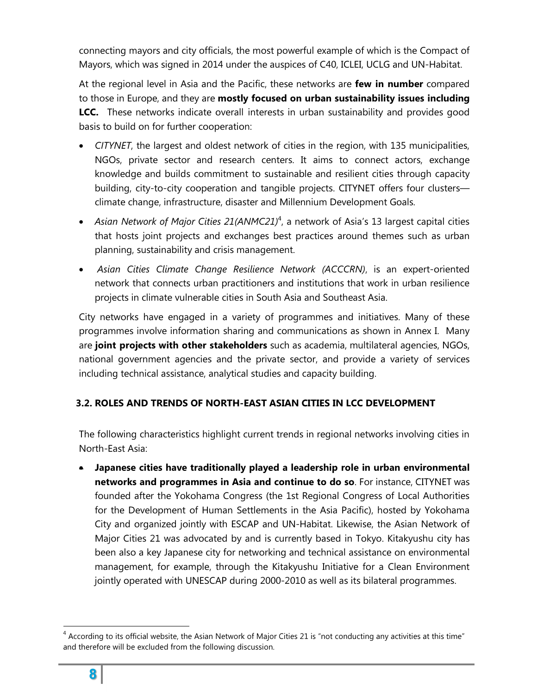connecting mayors and city officials, the most powerful example of which is the Compact of Mayors, which was signed in 2014 under the auspices of C40, ICLEI, UCLG and UN-Habitat.

At the regional level in Asia and the Pacific, these networks are few in number compared to those in Europe, and they are **mostly focused on urban sustainability issues including LCC.** These networks indicate overall interests in urban sustainability and provides good basis to build on for further cooperation:

- CITYNET, the largest and oldest network of cities in the region, with 135 municipalities, NGOs, private sector and research centers. It aims to connect actors, exchange knowledge and builds commitment to sustainable and resilient cities through capacity building, city-to-city cooperation and tangible projects. CITYNET offers four clusters climate change, infrastructure, disaster and Millennium Development Goals.
- Asian Network of Major Cities 21(ANMC21)<sup>4</sup>, a network of Asia's 13 largest capital cities that hosts joint projects and exchanges best practices around themes such as urban planning, sustainability and crisis management.
- Asian Cities Climate Change Resilience Network (ACCCRN), is an expert-oriented network that connects urban practitioners and institutions that work in urban resilience projects in climate vulnerable cities in South Asia and Southeast Asia.

City networks have engaged in a variety of programmes and initiatives. Many of these programmes involve information sharing and communications as shown in Annex I. Many are joint projects with other stakeholders such as academia, multilateral agencies, NGOs, national government agencies and the private sector, and provide a variety of services including technical assistance, analytical studies and capacity building.

### 3.2. ROLES AND TRENDS OF NORTH-EAST ASIAN CITIES IN LCC DEVELOPMENT

The following characteristics highlight current trends in regional networks involving cities in North-East Asia:

• Japanese cities have traditionally played a leadership role in urban environmental networks and programmes in Asia and continue to do so. For instance, CITYNET was founded after the Yokohama Congress (the 1st Regional Congress of Local Authorities for the Development of Human Settlements in the Asia Pacific), hosted by Yokohama City and organized jointly with ESCAP and UN-Habitat. Likewise, the Asian Network of Major Cities 21 was advocated by and is currently based in Tokyo. Kitakyushu city has been also a key Japanese city for networking and technical assistance on environmental management, for example, through the Kitakyushu Initiative for a Clean Environment jointly operated with UNESCAP during 2000-2010 as well as its bilateral programmes.

 $\overline{a}$ 

 $^4$  According to its official website, the Asian Network of Major Cities 21 is "not conducting any activities at this time" and therefore will be excluded from the following discussion.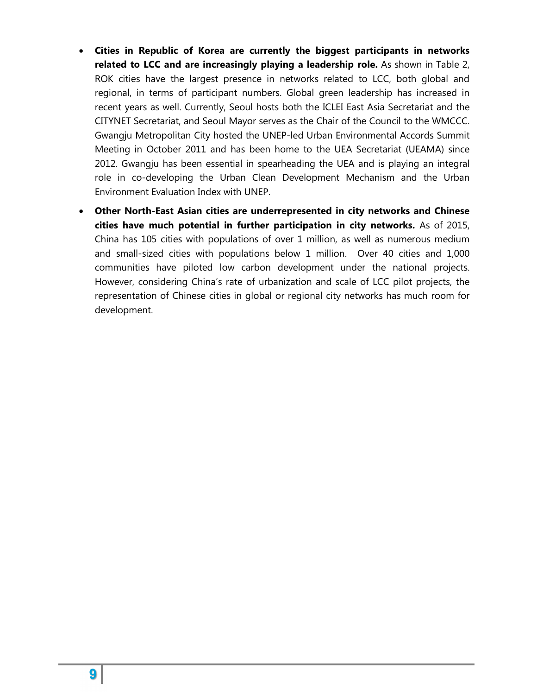- Cities in Republic of Korea are currently the biggest participants in networks related to LCC and are increasingly playing a leadership role. As shown in Table 2, ROK cities have the largest presence in networks related to LCC, both global and regional, in terms of participant numbers. Global green leadership has increased in recent years as well. Currently, Seoul hosts both the ICLEI East Asia Secretariat and the CITYNET Secretariat, and Seoul Mayor serves as the Chair of the Council to the WMCCC. Gwangju Metropolitan City hosted the UNEP-led Urban Environmental Accords Summit Meeting in October 2011 and has been home to the UEA Secretariat (UEAMA) since 2012. Gwangju has been essential in spearheading the UEA and is playing an integral role in co-developing the Urban Clean Development Mechanism and the Urban Environment Evaluation Index with UNEP.
- Other North-East Asian cities are underrepresented in city networks and Chinese cities have much potential in further participation in city networks. As of 2015, China has 105 cities with populations of over 1 million, as well as numerous medium and small-sized cities with populations below 1 million. Over 40 cities and 1,000 communities have piloted low carbon development under the national projects. However, considering China's rate of urbanization and scale of LCC pilot projects, the representation of Chinese cities in global or regional city networks has much room for development.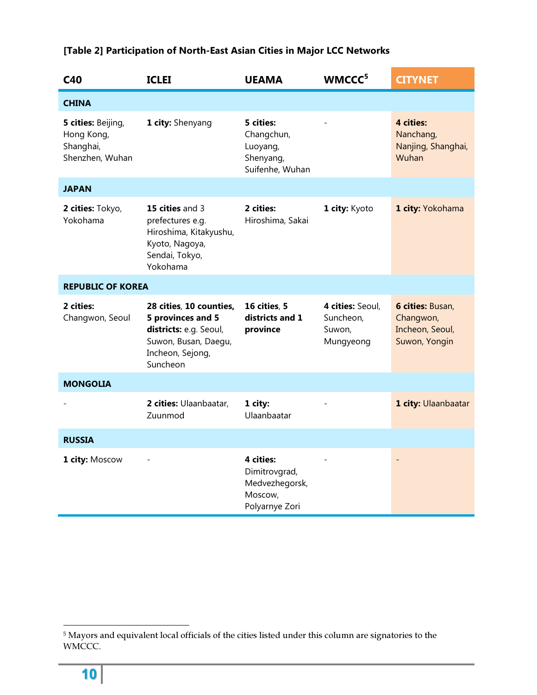| C40                                                              | <b>ICLEI</b>                                                                                                                   | <b>UEAMA</b>                                                              | WMCCC <sup>5</sup>                                   | <b>CITYNET</b>                                                    |
|------------------------------------------------------------------|--------------------------------------------------------------------------------------------------------------------------------|---------------------------------------------------------------------------|------------------------------------------------------|-------------------------------------------------------------------|
| <b>CHINA</b>                                                     |                                                                                                                                |                                                                           |                                                      |                                                                   |
| 5 cities: Beijing,<br>Hong Kong,<br>Shanghai,<br>Shenzhen, Wuhan | 1 city: Shenyang                                                                                                               | 5 cities:<br>Changchun,<br>Luoyang,<br>Shenyang,<br>Suifenhe, Wuhan       |                                                      | 4 cities:<br>Nanchang,<br>Nanjing, Shanghai,<br>Wuhan             |
| <b>JAPAN</b>                                                     |                                                                                                                                |                                                                           |                                                      |                                                                   |
| 2 cities: Tokyo,<br>Yokohama                                     | 15 cities and 3<br>prefectures e.g.<br>Hiroshima, Kitakyushu,<br>Kyoto, Nagoya,<br>Sendai, Tokyo,<br>Yokohama                  | 2 cities:<br>Hiroshima, Sakai                                             | 1 city: Kyoto                                        | 1 city: Yokohama                                                  |
| <b>REPUBLIC OF KOREA</b>                                         |                                                                                                                                |                                                                           |                                                      |                                                                   |
| 2 cities:<br>Changwon, Seoul                                     | 28 cities, 10 counties,<br>5 provinces and 5<br>districts: e.g. Seoul,<br>Suwon, Busan, Daegu,<br>Incheon, Sejong,<br>Suncheon | 16 cities, 5<br>districts and 1<br>province                               | 4 cities: Seoul,<br>Suncheon,<br>Suwon,<br>Mungyeong | 6 cities: Busan,<br>Changwon,<br>Incheon, Seoul,<br>Suwon, Yongin |
| <b>MONGOLIA</b>                                                  |                                                                                                                                |                                                                           |                                                      |                                                                   |
|                                                                  | 2 cities: Ulaanbaatar,<br><b>Zuunmod</b>                                                                                       | 1 city:<br>Ulaanbaatar                                                    |                                                      | 1 city: Ulaanbaatar                                               |
| <b>RUSSIA</b>                                                    |                                                                                                                                |                                                                           |                                                      |                                                                   |
| 1 city: Moscow                                                   |                                                                                                                                | 4 cities:<br>Dimitrovgrad,<br>Medvezhegorsk,<br>Moscow,<br>Polyarnye Zori |                                                      |                                                                   |

### [Table 2] Participation of North-East Asian Cities in Major LCC Networks

<sup>&</sup>lt;sup>5</sup> Mayors and equivalent local officials of the cities listed under this column are signatories to the WMCCC.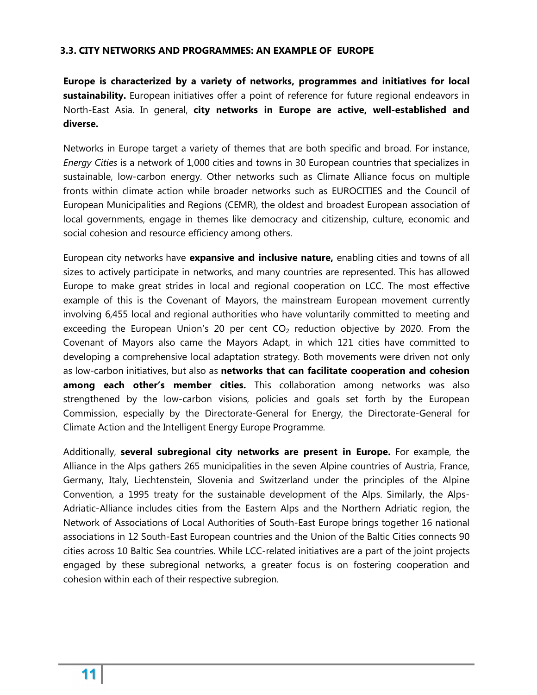### 3.3. CITY NETWORKS AND PROGRAMMES: AN EXAMPLE OF EUROPE

Europe is characterized by a variety of networks, programmes and initiatives for local sustainability. European initiatives offer a point of reference for future regional endeavors in North-East Asia. In general, city networks in Europe are active, well-established and diverse.

Networks in Europe target a variety of themes that are both specific and broad. For instance, Energy Cities is a network of 1,000 cities and towns in 30 European countries that specializes in sustainable, low-carbon energy. Other networks such as Climate Alliance focus on multiple fronts within climate action while broader networks such as EUROCITIES and the Council of European Municipalities and Regions (CEMR), the oldest and broadest European association of local governments, engage in themes like democracy and citizenship, culture, economic and social cohesion and resource efficiency among others.

European city networks have expansive and inclusive nature, enabling cities and towns of all sizes to actively participate in networks, and many countries are represented. This has allowed Europe to make great strides in local and regional cooperation on LCC. The most effective example of this is the Covenant of Mayors, the mainstream European movement currently involving 6,455 local and regional authorities who have voluntarily committed to meeting and exceeding the European Union's 20 per cent  $CO<sub>2</sub>$  reduction objective by 2020. From the Covenant of Mayors also came the Mayors Adapt, in which 121 cities have committed to developing a comprehensive local adaptation strategy. Both movements were driven not only as low-carbon initiatives, but also as networks that can facilitate cooperation and cohesion among each other's member cities. This collaboration among networks was also strengthened by the low-carbon visions, policies and goals set forth by the European Commission, especially by the Directorate-General for Energy, the Directorate-General for Climate Action and the Intelligent Energy Europe Programme.

Additionally, several subregional city networks are present in Europe. For example, the Alliance in the Alps gathers 265 municipalities in the seven Alpine countries of Austria, France, Germany, Italy, Liechtenstein, Slovenia and Switzerland under the principles of the Alpine Convention, a 1995 treaty for the sustainable development of the Alps. Similarly, the Alps-Adriatic-Alliance includes cities from the Eastern Alps and the Northern Adriatic region, the Network of Associations of Local Authorities of South-East Europe brings together 16 national associations in 12 South-East European countries and the Union of the Baltic Cities connects 90 cities across 10 Baltic Sea countries. While LCC-related initiatives are a part of the joint projects engaged by these subregional networks, a greater focus is on fostering cooperation and cohesion within each of their respective subregion.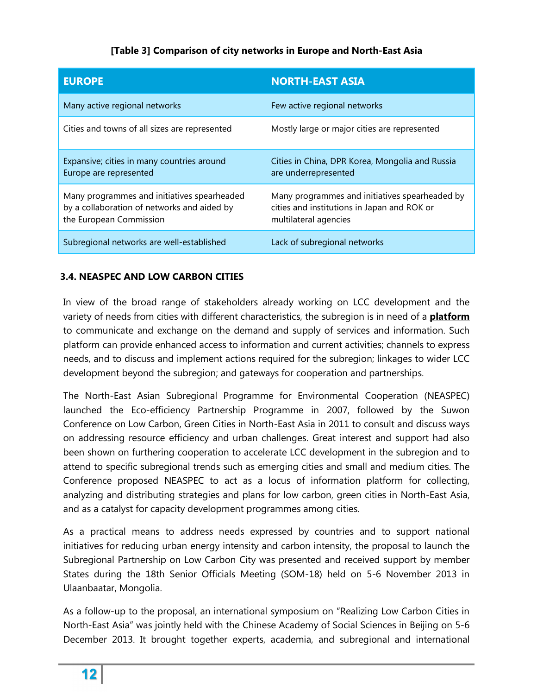### [Table 3] Comparison of city networks in Europe and North-East Asia

| <b>EUROPE</b>                                                                                                         | <b>NORTH-EAST ASIA</b>                                                                                                 |
|-----------------------------------------------------------------------------------------------------------------------|------------------------------------------------------------------------------------------------------------------------|
| Many active regional networks                                                                                         | Few active regional networks                                                                                           |
| Cities and towns of all sizes are represented                                                                         | Mostly large or major cities are represented                                                                           |
| Expansive; cities in many countries around<br>Europe are represented                                                  | Cities in China, DPR Korea, Mongolia and Russia<br>are underrepresented                                                |
| Many programmes and initiatives spearheaded<br>by a collaboration of networks and aided by<br>the European Commission | Many programmes and initiatives spearheaded by<br>cities and institutions in Japan and ROK or<br>multilateral agencies |
| Subregional networks are well-established                                                                             | Lack of subregional networks                                                                                           |

### 3.4. NEASPEC AND LOW CARBON CITIES

In view of the broad range of stakeholders already working on LCC development and the variety of needs from cities with different characteristics, the subregion is in need of a **platform** to communicate and exchange on the demand and supply of services and information. Such platform can provide enhanced access to information and current activities; channels to express needs, and to discuss and implement actions required for the subregion; linkages to wider LCC development beyond the subregion; and gateways for cooperation and partnerships.

The North-East Asian Subregional Programme for Environmental Cooperation (NEASPEC) launched the Eco-efficiency Partnership Programme in 2007, followed by the Suwon Conference on Low Carbon, Green Cities in North-East Asia in 2011 to consult and discuss ways on addressing resource efficiency and urban challenges. Great interest and support had also been shown on furthering cooperation to accelerate LCC development in the subregion and to attend to specific subregional trends such as emerging cities and small and medium cities. The Conference proposed NEASPEC to act as a locus of information platform for collecting, analyzing and distributing strategies and plans for low carbon, green cities in North-East Asia, and as a catalyst for capacity development programmes among cities.

As a practical means to address needs expressed by countries and to support national initiatives for reducing urban energy intensity and carbon intensity, the proposal to launch the Subregional Partnership on Low Carbon City was presented and received support by member States during the 18th Senior Officials Meeting (SOM-18) held on 5-6 November 2013 in Ulaanbaatar, Mongolia.

As a follow-up to the proposal, an international symposium on "Realizing Low Carbon Cities in North-East Asia" was jointly held with the Chinese Academy of Social Sciences in Beijing on 5-6 December 2013. It brought together experts, academia, and subregional and international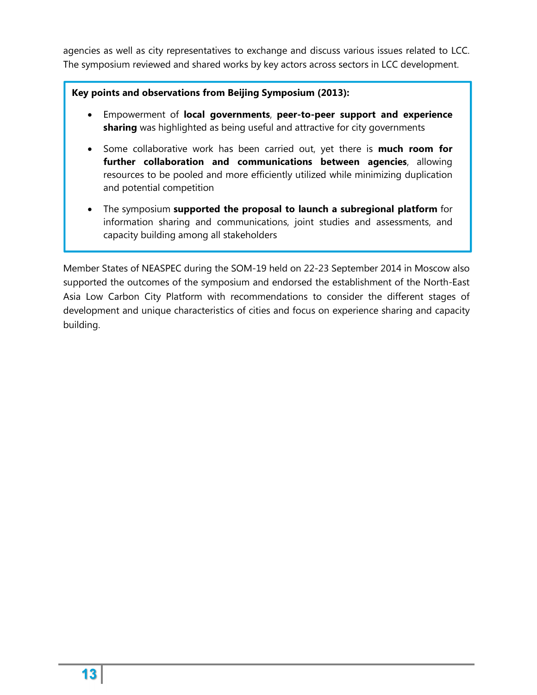agencies as well as city representatives to exchange and discuss various issues related to LCC. The symposium reviewed and shared works by key actors across sectors in LCC development.

### Key points and observations from Beijing Symposium (2013):

- Empowerment of local governments, peer-to-peer support and experience sharing was highlighted as being useful and attractive for city governments
- Some collaborative work has been carried out, yet there is **much room for** further collaboration and communications between agencies, allowing resources to be pooled and more efficiently utilized while minimizing duplication and potential competition
- The symposium supported the proposal to launch a subregional platform for information sharing and communications, joint studies and assessments, and capacity building among all stakeholders

Member States of NEASPEC during the SOM-19 held on 22-23 September 2014 in Moscow also supported the outcomes of the symposium and endorsed the establishment of the North-East Asia Low Carbon City Platform with recommendations to consider the different stages of development and unique characteristics of cities and focus on experience sharing and capacity building.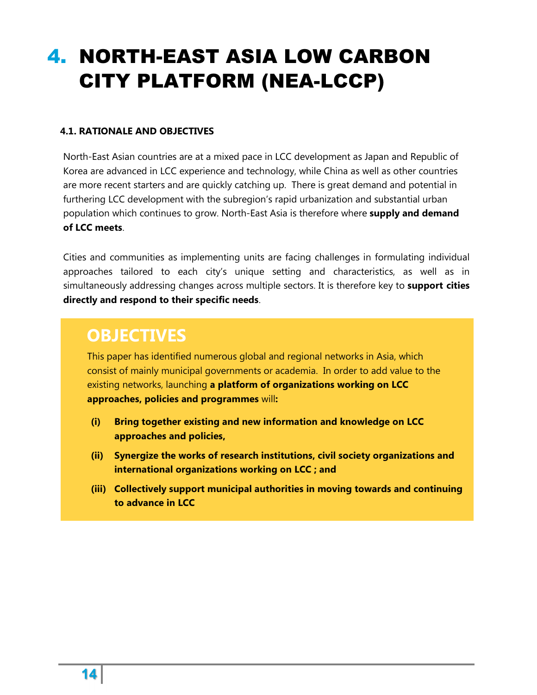### 4. NORTH-EAST ASIA LOW CARBON CITY PLATFORM (NEA-LCCP)

### 4.1. RATIONALE AND OBJECTIVES

North-East Asian countries are at a mixed pace in LCC development as Japan and Republic of Korea are advanced in LCC experience and technology, while China as well as other countries are more recent starters and are quickly catching up. There is great demand and potential in furthering LCC development with the subregion's rapid urbanization and substantial urban population which continues to grow. North-East Asia is therefore where **supply and demand** of LCC meets.

Cities and communities as implementing units are facing challenges in formulating individual approaches tailored to each city's unique setting and characteristics, as well as in simultaneously addressing changes across multiple sectors. It is therefore key to **support cities** directly and respond to their specific needs.

### **OBJECTIVES**

This paper has identified numerous global and regional networks in Asia, which consist of mainly municipal governments or academia. In order to add value to the existing networks, launching a platform of organizations working on LCC approaches, policies and programmes will:

- (i) Bring together existing and new information and knowledge on LCC approaches and policies,
- (ii) Synergize the works of research institutions, civil society organizations and international organizations working on LCC ; and
- (iii) Collectively support municipal authorities in moving towards and continuing to advance in LCC

Ĩ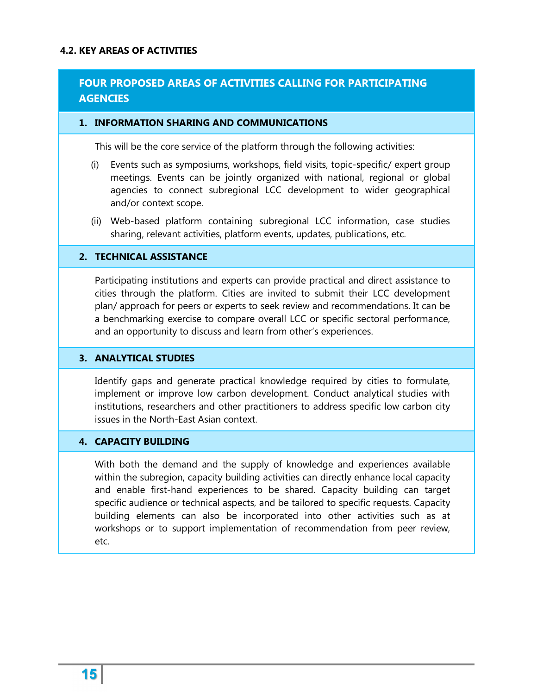### 4.2. KEY AREAS OF ACTIVITIES

### FOUR PROPOSED AREAS OF ACTIVITIES CALLING FOR PARTICIPATING **AGENCIES**

#### 1. INFORMATION SHARING AND COMMUNICATIONS

This will be the core service of the platform through the following activities:

- (i) Events such as symposiums, workshops, field visits, topic-specific/ expert group meetings. Events can be jointly organized with national, regional or global agencies to connect subregional LCC development to wider geographical and/or context scope.
- (ii) Web-based platform containing subregional LCC information, case studies sharing, relevant activities, platform events, updates, publications, etc.

#### 2. TECHNICAL ASSISTANCE

Participating institutions and experts can provide practical and direct assistance to cities through the platform. Cities are invited to submit their LCC development plan/ approach for peers or experts to seek review and recommendations. It can be a benchmarking exercise to compare overall LCC or specific sectoral performance, and an opportunity to discuss and learn from other's experiences.

#### 3. ANALYTICAL STUDIES

Identify gaps and generate practical knowledge required by cities to formulate, implement or improve low carbon development. Conduct analytical studies with institutions, researchers and other practitioners to address specific low carbon city issues in the North-East Asian context.

### 4. CAPACITY BUILDING

With both the demand and the supply of knowledge and experiences available within the subregion, capacity building activities can directly enhance local capacity and enable first-hand experiences to be shared. Capacity building can target specific audience or technical aspects, and be tailored to specific requests. Capacity building elements can also be incorporated into other activities such as at workshops or to support implementation of recommendation from peer review, etc.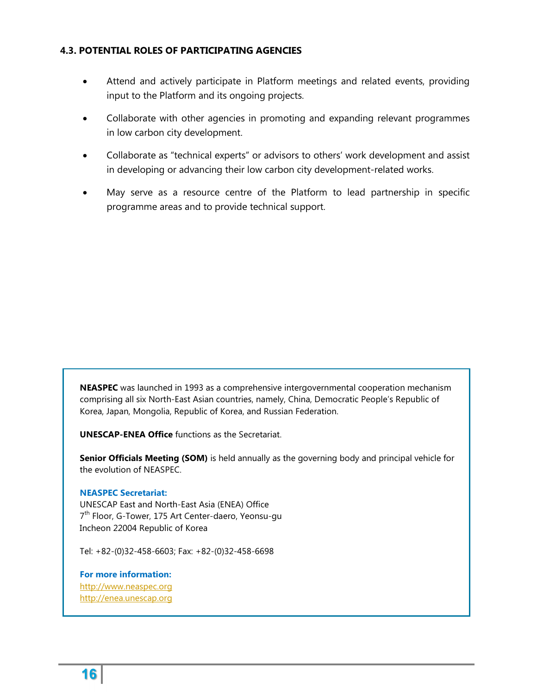### 4.3. POTENTIAL ROLES OF PARTICIPATING AGENCIES

- Attend and actively participate in Platform meetings and related events, providing input to the Platform and its ongoing projects.
- Collaborate with other agencies in promoting and expanding relevant programmes in low carbon city development.
- Collaborate as "technical experts" or advisors to others' work development and assist in developing or advancing their low carbon city development-related works.
- May serve as a resource centre of the Platform to lead partnership in specific programme areas and to provide technical support.

NEASPEC was launched in 1993 as a comprehensive intergovernmental cooperation mechanism comprising all six North-East Asian countries, namely, China, Democratic People's Republic of Korea, Japan, Mongolia, Republic of Korea, and Russian Federation.

UNESCAP-ENEA Office functions as the Secretariat.

Senior Officials Meeting (SOM) is held annually as the governing body and principal vehicle for the evolution of NEASPEC.

#### NEASPEC Secretariat:

UNESCAP East and North-East Asia (ENEA) Office 7 th Floor, G-Tower, 175 Art Center-daero, Yeonsu-gu Incheon 22004 Republic of Korea

Tel: +82-(0)32-458-6603; Fax: +82-(0)32-458-6698

For more information: http://www.neaspec.org http://enea.unescap.org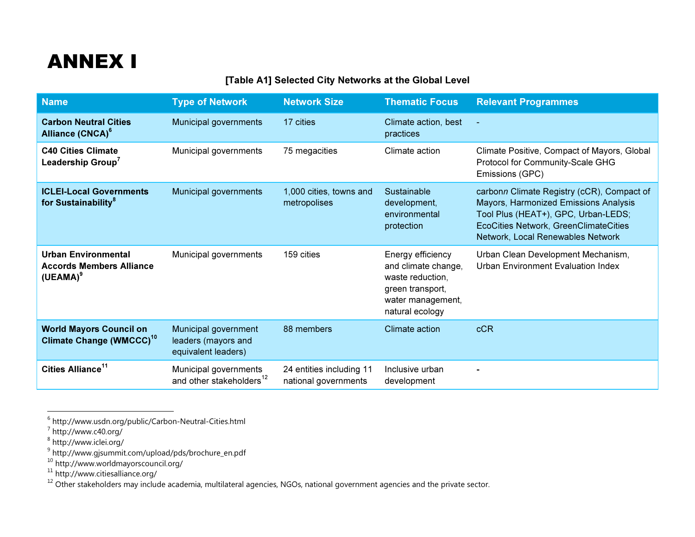# ANNEX I

### [Table A1] Selected City Networks at the Global Level

| <b>Name</b>                                                                           | <b>Type of Network</b>                                             | <b>Network Size</b>                              | <b>Thematic Focus</b>                                                                                                    | <b>Relevant Programmes</b>                                                                                                                                                                               |
|---------------------------------------------------------------------------------------|--------------------------------------------------------------------|--------------------------------------------------|--------------------------------------------------------------------------------------------------------------------------|----------------------------------------------------------------------------------------------------------------------------------------------------------------------------------------------------------|
| <b>Carbon Neutral Cities</b><br>Alliance (CNCA) <sup>6</sup>                          | Municipal governments                                              | 17 cities                                        | Climate action, best<br>practices                                                                                        |                                                                                                                                                                                                          |
| <b>C40 Cities Climate</b><br>Leadership Group <sup>7</sup>                            | Municipal governments                                              | 75 megacities                                    | Climate action                                                                                                           | Climate Positive, Compact of Mayors, Global<br>Protocol for Community-Scale GHG<br>Emissions (GPC)                                                                                                       |
| <b>ICLEI-Local Governments</b><br>for Sustainability <sup>8</sup>                     | Municipal governments                                              | 1,000 cities, towns and<br>metropolises          | Sustainable<br>development,<br>environmental<br>protection                                                               | carbonn Climate Registry (cCR), Compact of<br>Mayors, Harmonized Emissions Analysis<br>Tool Plus (HEAT+), GPC, Urban-LEDS;<br>EcoCities Network, GreenClimateCities<br>Network, Local Renewables Network |
| <b>Urban Environmental</b><br><b>Accords Members Alliance</b><br>(UEAMA) <sup>9</sup> | Municipal governments                                              | 159 cities                                       | Energy efficiency<br>and climate change,<br>waste reduction,<br>green transport,<br>water management,<br>natural ecology | Urban Clean Development Mechanism,<br>Urban Environment Evaluation Index                                                                                                                                 |
| <b>World Mayors Council on</b><br>Climate Change (WMCCC) <sup>10</sup>                | Municipal government<br>leaders (mayors and<br>equivalent leaders) | 88 members                                       | Climate action                                                                                                           | cCR                                                                                                                                                                                                      |
| Cities Alliance <sup>11</sup>                                                         | Municipal governments<br>and other stakeholders <sup>12</sup>      | 24 entities including 11<br>national governments | Inclusive urban<br>development                                                                                           |                                                                                                                                                                                                          |

<sup>&</sup>lt;sup>6</sup> http://www.usdn.org/public/Carbon-Neutral-Cities.html<br><sup>7</sup> http://www.c40.org/<br><sup>8</sup> http://www.iclei.org/<br><sup>9</sup> http://www.iclei.org/<br><sup>10</sup> http://www.gjsummit.com/upload/pds/brochure\_en.pdf<br><sup>10</sup> http://www.worldmayorscoun

<sup>12</sup> Other stakeholders may include academia, multilateral agencies, NGOs, national government agencies and the private sector.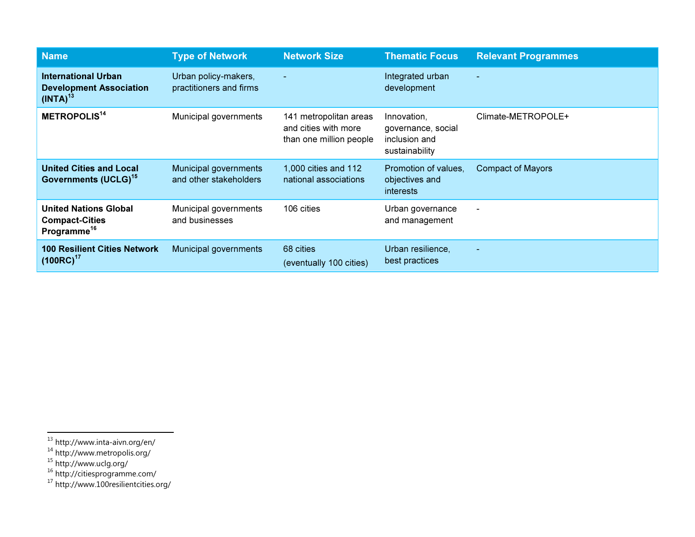| <b>Name</b>                                                                      | <b>Type of Network</b>                          | <b>Network Size</b>                                                       | <b>Thematic Focus</b>                                                | <b>Relevant Programmes</b> |
|----------------------------------------------------------------------------------|-------------------------------------------------|---------------------------------------------------------------------------|----------------------------------------------------------------------|----------------------------|
| <b>International Urban</b><br><b>Development Association</b><br>$(INTA)^{13}$    | Urban policy-makers,<br>practitioners and firms | $\overline{\phantom{a}}$                                                  | Integrated urban<br>development                                      | $\sim$                     |
| <b>METROPOLIS<sup>14</sup></b>                                                   | Municipal governments                           | 141 metropolitan areas<br>and cities with more<br>than one million people | Innovation,<br>governance, social<br>inclusion and<br>sustainability | Climate-METROPOLE+         |
| <b>United Cities and Local</b><br>Governments (UCLG) <sup>15</sup>               | Municipal governments<br>and other stakeholders | 1,000 cities and 112<br>national associations                             | Promotion of values,<br>objectives and<br><i>interests</i>           | <b>Compact of Mayors</b>   |
| <b>United Nations Global</b><br><b>Compact-Cities</b><br>Programme <sup>16</sup> | Municipal governments<br>and businesses         | 106 cities                                                                | Urban governance<br>and management                                   | $\overline{\phantom{0}}$   |
| <b>100 Resilient Cities Network</b><br>$(100RC)^{17}$                            | Municipal governments                           | 68 cities<br>(eventually 100 cities)                                      | Urban resilience,<br>best practices                                  | ٠                          |

<sup>&</sup>lt;sup>13</sup> http://www.inta-aivn.org/en/<br><sup>14</sup> http://www.metropolis.org/<br><sup>15</sup> http://www.uclg.org/<br><sup>16</sup> http://citiesprogramme.com/<br><sup>17</sup> http://www.100resilientcities.org/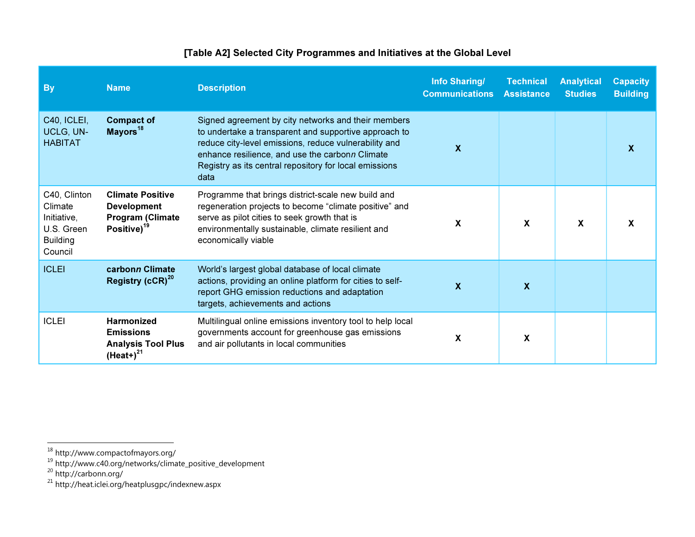### [Table A2] Selected City Programmes and Initiatives at the Global Level

| <b>By</b>                                                                          | <b>Name</b>                                                                                         | <b>Description</b>                                                                                                                                                                                                                                                                         | Info Sharing/<br><b>Communications</b> | <b>Technical</b><br><b>Assistance</b> | <b>Analytical</b><br><b>Studies</b> | <b>Capacity</b><br><b>Building</b> |
|------------------------------------------------------------------------------------|-----------------------------------------------------------------------------------------------------|--------------------------------------------------------------------------------------------------------------------------------------------------------------------------------------------------------------------------------------------------------------------------------------------|----------------------------------------|---------------------------------------|-------------------------------------|------------------------------------|
| C40, ICLEI,<br>UCLG, UN-<br><b>HABITAT</b>                                         | <b>Compact of</b><br>Mayors <sup>18</sup>                                                           | Signed agreement by city networks and their members<br>to undertake a transparent and supportive approach to<br>reduce city-level emissions, reduce vulnerability and<br>enhance resilience, and use the carbonn Climate<br>Registry as its central repository for local emissions<br>data | $\boldsymbol{\mathsf{X}}$              |                                       |                                     |                                    |
| C40, Clinton<br>Climate<br>Initiative,<br>U.S. Green<br><b>Building</b><br>Council | <b>Climate Positive</b><br><b>Development</b><br><b>Program (Climate</b><br>Positive) <sup>19</sup> | Programme that brings district-scale new build and<br>regeneration projects to become "climate positive" and<br>serve as pilot cities to seek growth that is<br>environmentally sustainable, climate resilient and<br>economically viable                                                  | X                                      | X                                     | X                                   |                                    |
| <b>ICLEI</b>                                                                       | carbonn Climate<br>Registry $(cCR)^{20}$                                                            | World's largest global database of local climate<br>actions, providing an online platform for cities to self-<br>report GHG emission reductions and adaptation<br>targets, achievements and actions                                                                                        | $\boldsymbol{\mathsf{X}}$              | $\boldsymbol{X}$                      |                                     |                                    |
| <b>ICLEI</b>                                                                       | <b>Harmonized</b><br><b>Emissions</b><br><b>Analysis Tool Plus</b><br>$(Heat+)$ <sup>21</sup>       | Multilingual online emissions inventory tool to help local<br>governments account for greenhouse gas emissions<br>and air pollutants in local communities                                                                                                                                  | X                                      | X                                     |                                     |                                    |

<sup>&</sup>lt;sup>18</sup> http://www.compactofmayors.org/<br><sup>19</sup> http://www.c40.org/networks/climate\_positive\_development<br><sup>20</sup> http://carbonn.org/<br><sup>21</sup> http://heat.iclei.org/heatplusgpc/indexnew.aspx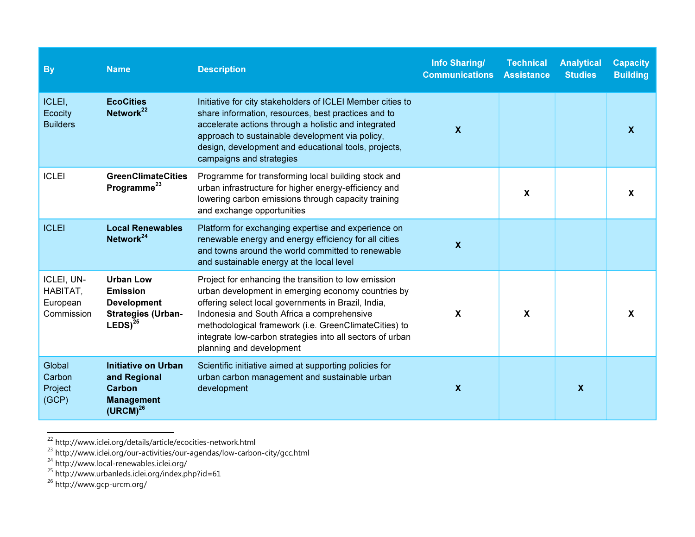| <b>By</b>                                        | <b>Name</b>                                                                                            | <b>Description</b>                                                                                                                                                                                                                                                                                                                                                | <b>Info Sharing/</b><br><b>Communications</b> | <b>Technical</b><br><b>Assistance</b> | <b>Analytical</b><br><b>Studies</b> | <b>Capacity</b><br><b>Building</b> |
|--------------------------------------------------|--------------------------------------------------------------------------------------------------------|-------------------------------------------------------------------------------------------------------------------------------------------------------------------------------------------------------------------------------------------------------------------------------------------------------------------------------------------------------------------|-----------------------------------------------|---------------------------------------|-------------------------------------|------------------------------------|
| ICLEI,<br>Ecocity<br><b>Builders</b>             | <b>EcoCities</b><br>Network <sup>22</sup>                                                              | Initiative for city stakeholders of ICLEI Member cities to<br>share information, resources, best practices and to<br>accelerate actions through a holistic and integrated<br>approach to sustainable development via policy,<br>design, development and educational tools, projects,<br>campaigns and strategies                                                  | $\mathbf{x}$                                  |                                       |                                     | $\mathbf{x}$                       |
| <b>ICLEI</b>                                     | <b>GreenClimateCities</b><br>Programme <sup>23</sup>                                                   | Programme for transforming local building stock and<br>urban infrastructure for higher energy-efficiency and<br>lowering carbon emissions through capacity training<br>and exchange opportunities                                                                                                                                                                 |                                               | X                                     |                                     | X                                  |
| <b>ICLEI</b>                                     | <b>Local Renewables</b><br>Network <sup>24</sup>                                                       | Platform for exchanging expertise and experience on<br>renewable energy and energy efficiency for all cities<br>and towns around the world committed to renewable<br>and sustainable energy at the local level                                                                                                                                                    | $\boldsymbol{X}$                              |                                       |                                     |                                    |
| ICLEI, UN-<br>HABITAT,<br>European<br>Commission | <b>Urban Low</b><br><b>Emission</b><br><b>Development</b><br><b>Strategies (Urban-</b><br>$LEDS)^{25}$ | Project for enhancing the transition to low emission<br>urban development in emerging economy countries by<br>offering select local governments in Brazil, India,<br>Indonesia and South Africa a comprehensive<br>methodological framework (i.e. GreenClimateCities) to<br>integrate low-carbon strategies into all sectors of urban<br>planning and development | X                                             | X                                     |                                     | X                                  |
| Global<br>Carbon<br>Project<br>(GCP)             | <b>Initiative on Urban</b><br>and Regional<br>Carbon<br><b>Management</b><br>$(URCM)^{26}$             | Scientific initiative aimed at supporting policies for<br>urban carbon management and sustainable urban<br>development                                                                                                                                                                                                                                            | $\boldsymbol{X}$                              |                                       | $\boldsymbol{\mathsf{X}}$           |                                    |

<sup>&</sup>lt;sup>22</sup> http://www.iclei.org/details/article/ecocities-network.html<br><sup>23</sup> http://www.iclei.org/our-activities/our-agendas/low-carbon-city/gcc.html<br><sup>24</sup> http://www.local-renewables.iclei.org/<br><sup>25</sup> http://www.urbanleds.iclei.org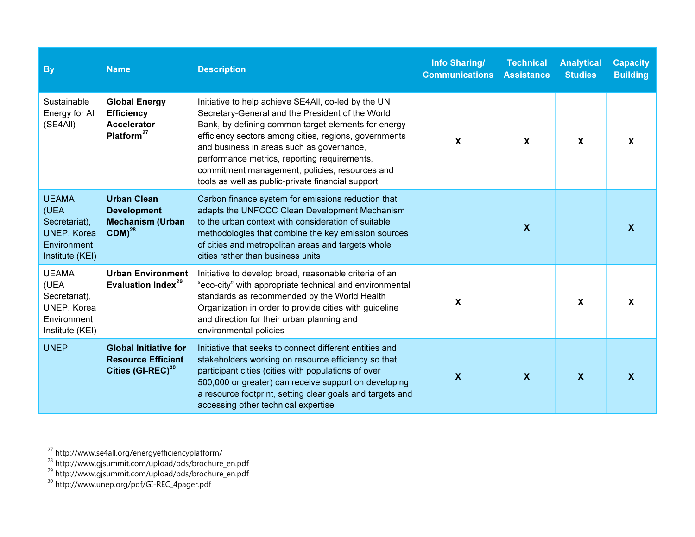| <b>By</b>                                                                                     | <b>Name</b>                                                                                | <b>Description</b>                                                                                                                                                                                                                                                                                                                                                                                                          | <b>Info Sharing/</b><br><b>Communications</b> | <b>Technical</b><br><b>Assistance</b> | <b>Analytical</b><br><b>Studies</b> | <b>Capacity</b><br><b>Building</b> |
|-----------------------------------------------------------------------------------------------|--------------------------------------------------------------------------------------------|-----------------------------------------------------------------------------------------------------------------------------------------------------------------------------------------------------------------------------------------------------------------------------------------------------------------------------------------------------------------------------------------------------------------------------|-----------------------------------------------|---------------------------------------|-------------------------------------|------------------------------------|
| Sustainable<br>Energy for All<br>(SE4All)                                                     | <b>Global Energy</b><br><b>Efficiency</b><br><b>Accelerator</b><br>Platform <sup>27</sup>  | Initiative to help achieve SE4All, co-led by the UN<br>Secretary-General and the President of the World<br>Bank, by defining common target elements for energy<br>efficiency sectors among cities, regions, governments<br>and business in areas such as governance,<br>performance metrics, reporting requirements,<br>commitment management, policies, resources and<br>tools as well as public-private financial support | X                                             | X                                     | $\boldsymbol{\mathsf{X}}$           | X                                  |
| <b>UEAMA</b><br>(UEA<br>Secretariat),<br><b>UNEP, Korea</b><br>Environment<br>Institute (KEI) | <b>Urban Clean</b><br><b>Development</b><br><b>Mechanism (Urban</b><br>$CDM)^{28}$         | Carbon finance system for emissions reduction that<br>adapts the UNFCCC Clean Development Mechanism<br>to the urban context with consideration of suitable<br>methodologies that combine the key emission sources<br>of cities and metropolitan areas and targets whole<br>cities rather than business units                                                                                                                |                                               | $\boldsymbol{X}$                      |                                     | $\mathbf x$                        |
| <b>UEAMA</b><br>(UEA<br>Secretariat),<br>UNEP, Korea<br>Environment<br>Institute (KEI)        | <b>Urban Environment</b><br>Evaluation Index <sup>29</sup>                                 | Initiative to develop broad, reasonable criteria of an<br>"eco-city" with appropriate technical and environmental<br>standards as recommended by the World Health<br>Organization in order to provide cities with guideline<br>and direction for their urban planning and<br>environmental policies                                                                                                                         | X                                             |                                       | $\boldsymbol{\mathsf{X}}$           | X                                  |
| <b>UNEP</b>                                                                                   | <b>Global Initiative for</b><br><b>Resource Efficient</b><br>Cities (GI-REC) <sup>30</sup> | Initiative that seeks to connect different entities and<br>stakeholders working on resource efficiency so that<br>participant cities (cities with populations of over<br>500,000 or greater) can receive support on developing<br>a resource footprint, setting clear goals and targets and<br>accessing other technical expertise                                                                                          | $\boldsymbol{X}$                              | $\boldsymbol{X}$                      | $\boldsymbol{X}$                    | X                                  |

<sup>&</sup>lt;sup>27</sup> http://www.se4all.org/energyefficiencyplatform/<br><sup>28</sup> http://www.gjsummit.com/upload/pds/brochure\_en.pdf<br><sup>29</sup> http://www.gjsummit.com/upload/pds/brochure\_en.pdf<br><sup>30</sup> http://www.unep.org/pdf/GI-REC\_4pager.pdf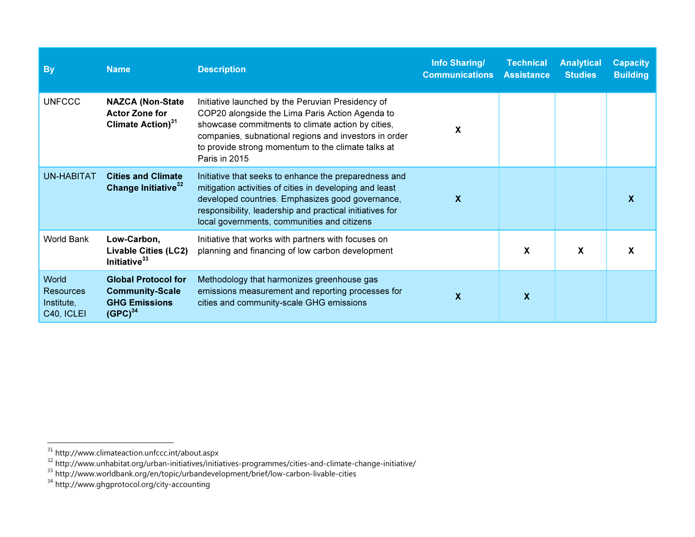| <b>By</b>                                             | <b>Name</b>                                                                                  | <b>Description</b>                                                                                                                                                                                                                                                                        | Info Sharing/<br><b>Communications</b> | <b>Technical</b><br><b>Assistance</b> | <b>Analytical</b><br><b>Studies</b> | <b>Capacity</b><br><b>Building</b> |
|-------------------------------------------------------|----------------------------------------------------------------------------------------------|-------------------------------------------------------------------------------------------------------------------------------------------------------------------------------------------------------------------------------------------------------------------------------------------|----------------------------------------|---------------------------------------|-------------------------------------|------------------------------------|
| <b>UNFCCC</b>                                         | <b>NAZCA (Non-State</b><br><b>Actor Zone for</b><br>Climate Action) <sup>31</sup>            | Initiative launched by the Peruvian Presidency of<br>COP20 alongside the Lima Paris Action Agenda to<br>showcase commitments to climate action by cities,<br>companies, subnational regions and investors in order<br>to provide strong momentum to the climate talks at<br>Paris in 2015 | X                                      |                                       |                                     |                                    |
| <b>UN-HABITAT</b>                                     | <b>Cities and Climate</b><br>Change Initiative <sup>32</sup>                                 | Initiative that seeks to enhance the preparedness and<br>mitigation activities of cities in developing and least<br>developed countries. Emphasizes good governance,<br>responsibility, leadership and practical initiatives for<br>local governments, communities and citizens           | $\mathbf{X}$                           |                                       |                                     |                                    |
| World Bank                                            | Low-Carbon,<br><b>Livable Cities (LC2)</b><br>Initiative <sup>33</sup>                       | Initiative that works with partners with focuses on<br>planning and financing of low carbon development                                                                                                                                                                                   |                                        | $\boldsymbol{\mathsf{X}}$             | $\boldsymbol{\mathsf{x}}$           |                                    |
| World<br><b>Resources</b><br>Institute,<br>C40, ICLEI | <b>Global Protocol for</b><br><b>Community-Scale</b><br><b>GHG Emissions</b><br>$(GPC)^{34}$ | Methodology that harmonizes greenhouse gas<br>emissions measurement and reporting processes for<br>cities and community-scale GHG emissions                                                                                                                                               | $\mathbf x$                            | $\boldsymbol{\mathsf{x}}$             |                                     |                                    |

<sup>&</sup>lt;sup>31</sup> http://www.climateaction.unfccc.int/about.aspx<br><sup>32</sup> http://www.unhabitat.org/urban-initiatives/initiatives-programmes/cities-and-climate-change-initiative/<br><sup>33</sup> http://www.worldbank.org/en/topic/urbandevelopment/brief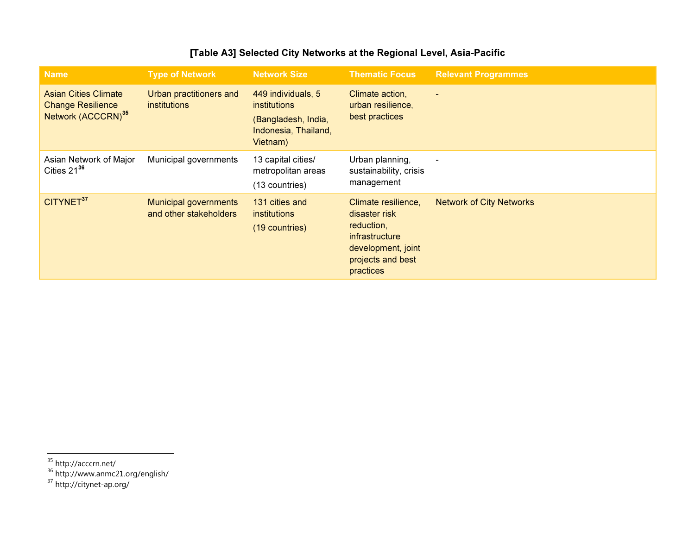### [Table A3] Selected City Networks at the Regional Level, Asia-Pacific

| <b>Name</b>                                                                               | <b>Type of Network</b>                                 | <b>Network Size</b>                                                                                  | <b>Thematic Focus</b>                                                                                                        | <b>Relevant Programmes</b>      |
|-------------------------------------------------------------------------------------------|--------------------------------------------------------|------------------------------------------------------------------------------------------------------|------------------------------------------------------------------------------------------------------------------------------|---------------------------------|
| <b>Asian Cities Climate</b><br><b>Change Resilience</b><br>Network (ACCCRN) <sup>35</sup> | Urban practitioners and<br><i>institutions</i>         | 449 individuals, 5<br><i>institutions</i><br>(Bangladesh, India,<br>Indonesia, Thailand,<br>Vietnam) | Climate action,<br>urban resilience,<br>best practices                                                                       |                                 |
| Asian Network of Major<br>Cities $21^{36}$                                                | Municipal governments                                  | 13 capital cities/<br>metropolitan areas<br>(13 countries)                                           | Urban planning,<br>sustainability, crisis<br>management                                                                      |                                 |
| CITYNET <sup>37</sup>                                                                     | <b>Municipal governments</b><br>and other stakeholders | 131 cities and<br><i>institutions</i><br>(19 countries)                                              | Climate resilience,<br>disaster risk<br>reduction,<br>infrastructure<br>development, joint<br>projects and best<br>practices | <b>Network of City Networks</b> |

<sup>&</sup>lt;sup>35</sup> http://acccrn.net/<br><sup>36</sup> http://www.anmc21.org/english/<br><sup>37</sup> http://citynet-ap.org/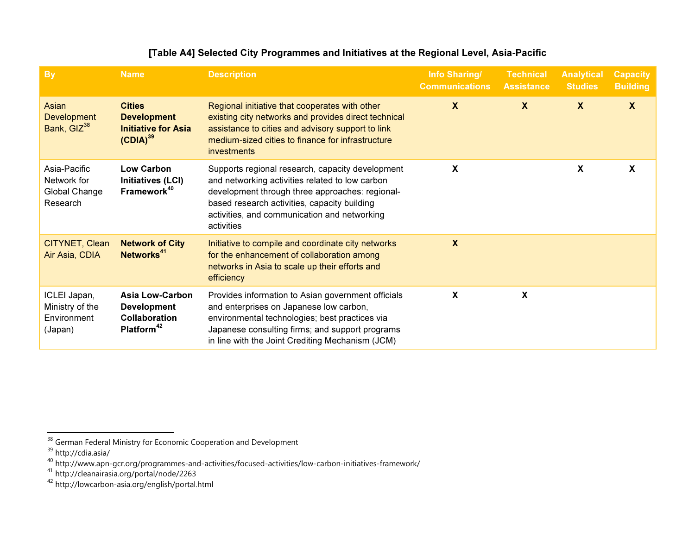| [Table A4] Selected City Programmes and Initiatives at the Regional Level, Asia-Pacific |  |  |  |
|-----------------------------------------------------------------------------------------|--|--|--|
|                                                                                         |  |  |  |

| <b>By</b>                                                 | <b>Name</b>                                                                                    | <b>Description</b>                                                                                                                                                                                                                                                   | Info Sharing/<br><b>Communications</b> | <b>Technical</b><br><b>Assistance</b> | <b>Analytical</b><br><b>Studies</b> | <b>Capacity</b><br><b>Building</b> |
|-----------------------------------------------------------|------------------------------------------------------------------------------------------------|----------------------------------------------------------------------------------------------------------------------------------------------------------------------------------------------------------------------------------------------------------------------|----------------------------------------|---------------------------------------|-------------------------------------|------------------------------------|
| Asian<br><b>Development</b><br>Bank, GIZ <sup>38</sup>    | <b>Cities</b><br><b>Development</b><br><b>Initiative for Asia</b><br>$(CDIA)^{39}$             | Regional initiative that cooperates with other<br>existing city networks and provides direct technical<br>assistance to cities and advisory support to link<br>medium-sized cities to finance for infrastructure<br>investments                                      | $\boldsymbol{\mathsf{X}}$              | $\boldsymbol{X}$                      | $\boldsymbol{X}$                    | $\boldsymbol{X}$                   |
| Asia-Pacific<br>Network for<br>Global Change<br>Research  | <b>Low Carbon</b><br><b>Initiatives (LCI)</b><br>Framework <sup>40</sup>                       | Supports regional research, capacity development<br>and networking activities related to low carbon<br>development through three approaches: regional-<br>based research activities, capacity building<br>activities, and communication and networking<br>activities | X                                      |                                       | X                                   | X                                  |
| CITYNET, Clean<br>Air Asia, CDIA                          | <b>Network of City</b><br>Networks <sup>41</sup>                                               | Initiative to compile and coordinate city networks<br>for the enhancement of collaboration among<br>networks in Asia to scale up their efforts and<br>efficiency                                                                                                     | X                                      |                                       |                                     |                                    |
| ICLEI Japan,<br>Ministry of the<br>Environment<br>(Japan) | <b>Asia Low-Carbon</b><br><b>Development</b><br><b>Collaboration</b><br>Platform <sup>42</sup> | Provides information to Asian government officials<br>and enterprises on Japanese low carbon,<br>environmental technologies; best practices via<br>Japanese consulting firms; and support programs<br>in line with the Joint Crediting Mechanism (JCM)               | X                                      | X                                     |                                     |                                    |

<sup>&</sup>lt;sup>38</sup> German Federal Ministry for Economic Cooperation and Development<br><sup>39</sup> http://cdia.asia/<br><sup>40</sup> http://www.apn-gcr.org/programmes-and-activities/focused-activities/low-carbon-initiatives-framework/<br><sup>41</sup> http://cleanairas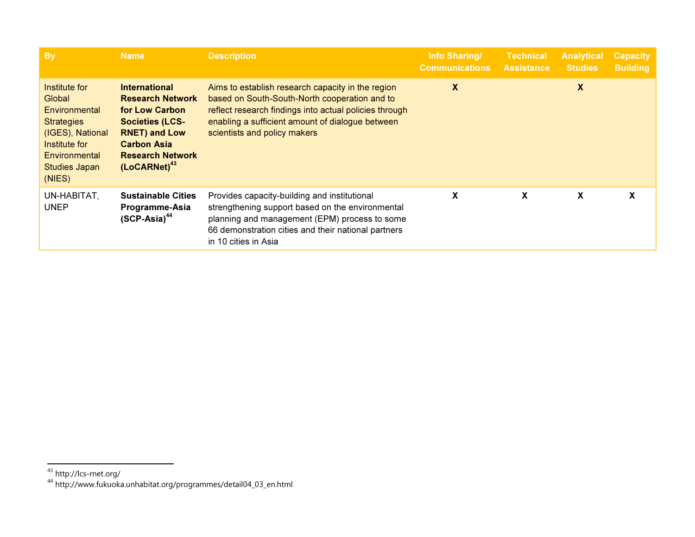| <b>By</b>                                                                                                                                             | <b>Name</b>                                                                                                                                                                               | <b>Description</b>                                                                                                                                                                                                                               | Info Sharing/<br><b>Communications</b> | <b>Technical</b><br><b>Assistance</b> | <b>Analytical</b><br><b>Studies</b> | <b>Capacity</b><br><b>Building</b> |
|-------------------------------------------------------------------------------------------------------------------------------------------------------|-------------------------------------------------------------------------------------------------------------------------------------------------------------------------------------------|--------------------------------------------------------------------------------------------------------------------------------------------------------------------------------------------------------------------------------------------------|----------------------------------------|---------------------------------------|-------------------------------------|------------------------------------|
| Institute for<br>Global<br>Environmental<br><b>Strategies</b><br>(IGES), National<br>Institute for<br>Environmental<br><b>Studies Japan</b><br>(NIES) | <b>International</b><br><b>Research Network</b><br>for Low Carbon<br><b>Societies (LCS-</b><br><b>RNET) and Low</b><br><b>Carbon Asia</b><br><b>Research Network</b><br>$(LoCARNet)^{43}$ | Aims to establish research capacity in the region<br>based on South-South-North cooperation and to<br>reflect research findings into actual policies through<br>enabling a sufficient amount of dialogue between<br>scientists and policy makers | X                                      |                                       | X                                   |                                    |
| UN-HABITAT,<br><b>UNEP</b>                                                                                                                            | <b>Sustainable Cities</b><br>Programme-Asia<br>$(SCP-Asia)^{44}$                                                                                                                          | Provides capacity-building and institutional<br>strengthening support based on the environmental<br>planning and management (EPM) process to some<br>66 demonstration cities and their national partners<br>in 10 cities in Asia                 | X                                      | X                                     | X                                   | X                                  |

<sup>&</sup>lt;sup>43</sup> http://lcs-rnet.org/<br><sup>44</sup> http://www.fukuoka.unhabitat.org/programmes/detail04\_03\_en.html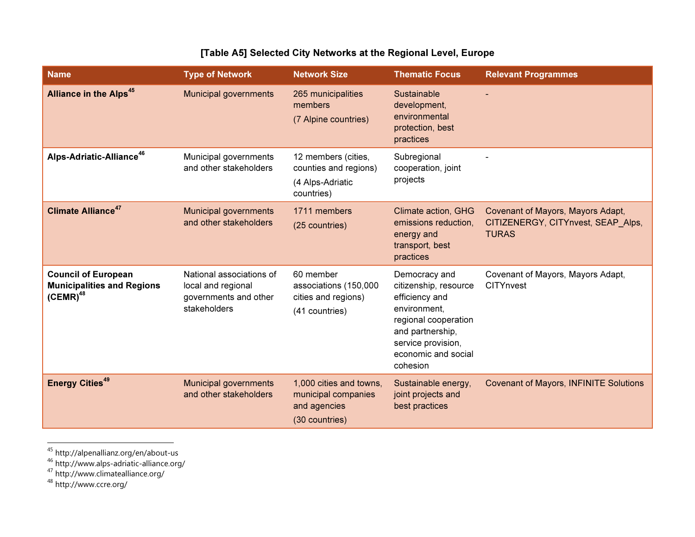| <b>Name</b>                                                                      | <b>Type of Network</b>                                                                  | <b>Network Size</b>                                                              | <b>Thematic Focus</b>                                                                                                                                                         | <b>Relevant Programmes</b>                                                              |
|----------------------------------------------------------------------------------|-----------------------------------------------------------------------------------------|----------------------------------------------------------------------------------|-------------------------------------------------------------------------------------------------------------------------------------------------------------------------------|-----------------------------------------------------------------------------------------|
| <b>Alliance in the Alps<sup>45</sup></b>                                         | <b>Municipal governments</b>                                                            | 265 municipalities<br>members<br>(7 Alpine countries)                            | Sustainable<br>development,<br>environmental<br>protection, best<br>practices                                                                                                 |                                                                                         |
| Alps-Adriatic-Alliance <sup>46</sup>                                             | Municipal governments<br>and other stakeholders                                         | 12 members (cities,<br>counties and regions)<br>(4 Alps-Adriatic<br>countries)   | Subregional<br>cooperation, joint<br>projects                                                                                                                                 |                                                                                         |
| <b>Climate Alliance<sup>47</sup></b>                                             | <b>Municipal governments</b><br>and other stakeholders                                  | 1711 members<br>(25 countries)                                                   | Climate action, GHG<br>emissions reduction,<br>energy and<br>transport, best<br>practices                                                                                     | Covenant of Mayors, Mayors Adapt,<br>CITIZENERGY, CITYnvest, SEAP_Alps,<br><b>TURAS</b> |
| <b>Council of European</b><br><b>Municipalities and Regions</b><br>$(CEMR)^{48}$ | National associations of<br>local and regional<br>governments and other<br>stakeholders | 60 member<br>associations (150,000<br>cities and regions)<br>(41 countries)      | Democracy and<br>citizenship, resource<br>efficiency and<br>environment.<br>regional cooperation<br>and partnership,<br>service provision,<br>economic and social<br>cohesion | Covenant of Mayors, Mayors Adapt,<br>CITYnvest                                          |
| <b>Energy Cities<sup>49</sup></b>                                                | <b>Municipal governments</b><br>and other stakeholders                                  | 1,000 cities and towns,<br>municipal companies<br>and agencies<br>(30 countries) | Sustainable energy,<br>joint projects and<br>best practices                                                                                                                   | <b>Covenant of Mayors, INFINITE Solutions</b>                                           |

### [Table A5] Selected City Networks at the Regional Level, Europe

<sup>&</sup>lt;sup>45</sup> http://alpenallianz.org/en/about-us<br><sup>46</sup> http://www.alps-adriatic-alliance.org/<br><sup>47</sup> http://www.climatealliance.org/<br><sup>48</sup> http://www.ccre.org/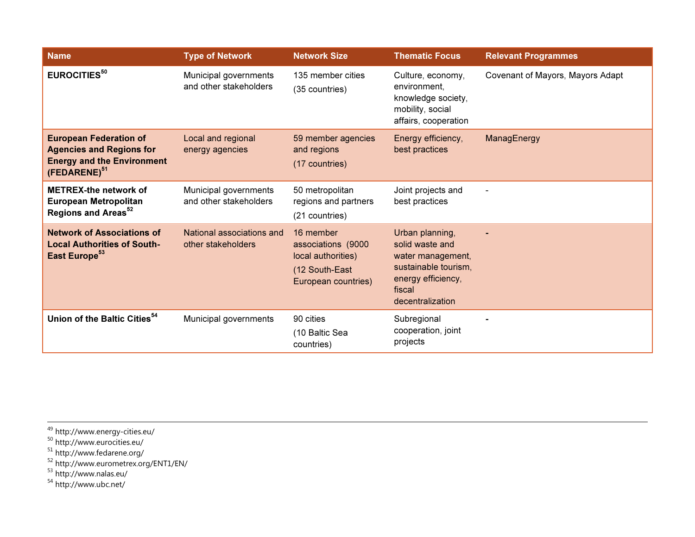| <b>Name</b>                                                                                                                       | <b>Type of Network</b>                          | <b>Network Size</b>                                                                            | <b>Thematic Focus</b>                                                                                                               | <b>Relevant Programmes</b>       |
|-----------------------------------------------------------------------------------------------------------------------------------|-------------------------------------------------|------------------------------------------------------------------------------------------------|-------------------------------------------------------------------------------------------------------------------------------------|----------------------------------|
| <b>EUROCITIES<sup>50</sup></b>                                                                                                    | Municipal governments<br>and other stakeholders | 135 member cities<br>(35 countries)                                                            | Culture, economy,<br>environment.<br>knowledge society,<br>mobility, social<br>affairs, cooperation                                 | Covenant of Mayors, Mayors Adapt |
| <b>European Federation of</b><br><b>Agencies and Regions for</b><br><b>Energy and the Environment</b><br>(FEDARENE) <sup>51</sup> | Local and regional<br>energy agencies           | 59 member agencies<br>and regions<br>(17 countries)                                            | Energy efficiency,<br>best practices                                                                                                | ManagEnergy                      |
| <b>METREX-the network of</b><br><b>European Metropolitan</b><br>Regions and Areas <sup>52</sup>                                   | Municipal governments<br>and other stakeholders | 50 metropolitan<br>regions and partners<br>(21 countries)                                      | Joint projects and<br>best practices                                                                                                |                                  |
| <b>Network of Associations of</b><br><b>Local Authorities of South-</b><br>East Europe <sup>53</sup>                              | National associations and<br>other stakeholders | 16 member<br>associations (9000<br>local authorities)<br>(12 South-East<br>European countries) | Urban planning,<br>solid waste and<br>water management,<br>sustainable tourism,<br>energy efficiency,<br>fiscal<br>decentralization |                                  |
| Union of the Baltic Cities <sup>54</sup>                                                                                          | Municipal governments                           | 90 cities<br>(10 Baltic Sea<br>countries)                                                      | Subregional<br>cooperation, joint<br>projects                                                                                       |                                  |

- 
- 
- <sup>49</sup> http://www.energy-cities.eu/<br><sup>50</sup> http://www.eurocities.eu/<br><sup>51</sup> http://www.fedarene.org/<br><sup>52</sup> http://www.eurometrex.org/ENT1/EN/<br><sup>54</sup> http://www.ubc.net/
- 
-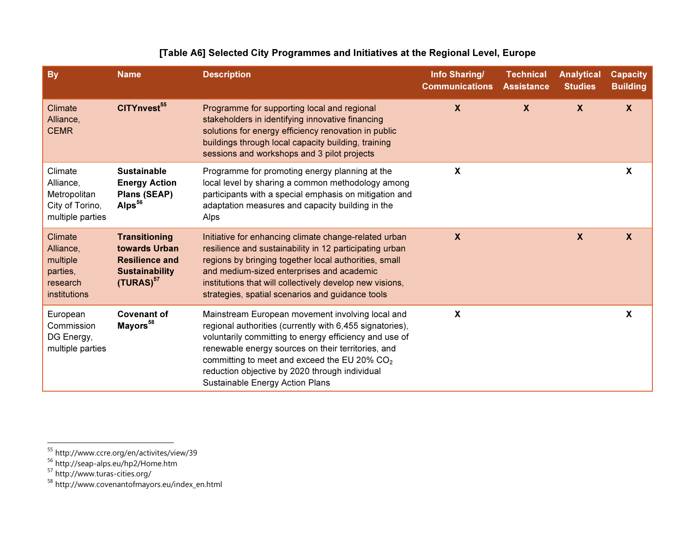| <b>By</b>                                                                   | <b>Name</b>                                                                                               | <b>Description</b>                                                                                                                                                                                                                                                                                                                                                            | Info Sharing/<br><b>Communications</b> | <b>Technical</b><br><b>Assistance</b> | <b>Analytical</b><br><b>Studies</b> | <b>Capacity</b><br><b>Building</b> |
|-----------------------------------------------------------------------------|-----------------------------------------------------------------------------------------------------------|-------------------------------------------------------------------------------------------------------------------------------------------------------------------------------------------------------------------------------------------------------------------------------------------------------------------------------------------------------------------------------|----------------------------------------|---------------------------------------|-------------------------------------|------------------------------------|
| Climate<br>Alliance,<br><b>CEMR</b>                                         | CITYnvest <sup>55</sup>                                                                                   | Programme for supporting local and regional<br>stakeholders in identifying innovative financing<br>solutions for energy efficiency renovation in public<br>buildings through local capacity building, training<br>sessions and workshops and 3 pilot projects                                                                                                                 | $\mathsf{X}$                           | $\boldsymbol{X}$                      | $\boldsymbol{X}$                    | $\boldsymbol{X}$                   |
| Climate<br>Alliance,<br>Metropolitan<br>City of Torino,<br>multiple parties | <b>Sustainable</b><br><b>Energy Action</b><br>Plans (SEAP)<br>Alps <sup>56</sup>                          | Programme for promoting energy planning at the<br>local level by sharing a common methodology among<br>participants with a special emphasis on mitigation and<br>adaptation measures and capacity building in the<br>Alps                                                                                                                                                     | $\boldsymbol{\mathsf{X}}$              |                                       |                                     | X                                  |
| Climate<br>Alliance,<br>multiple<br>parties,<br>research<br>institutions    | <b>Transitioning</b><br>towards Urban<br><b>Resilience and</b><br><b>Sustainability</b><br>$(TURAS)^{57}$ | Initiative for enhancing climate change-related urban<br>resilience and sustainability in 12 participating urban<br>regions by bringing together local authorities, small<br>and medium-sized enterprises and academic<br>institutions that will collectively develop new visions,<br>strategies, spatial scenarios and guidance tools                                        | $\boldsymbol{X}$                       |                                       | $\boldsymbol{X}$                    | $\boldsymbol{X}$                   |
| European<br>Commission<br>DG Energy,<br>multiple parties                    | <b>Covenant of</b><br>Mayors <sup>58</sup>                                                                | Mainstream European movement involving local and<br>regional authorities (currently with 6,455 signatories),<br>voluntarily committing to energy efficiency and use of<br>renewable energy sources on their territories, and<br>committing to meet and exceed the EU 20% CO <sub>2</sub><br>reduction objective by 2020 through individual<br>Sustainable Energy Action Plans | $\boldsymbol{\mathsf{X}}$              |                                       |                                     | X                                  |

### [Table A6] Selected City Programmes and Initiatives at the Regional Level, Europe

<sup>&</sup>lt;sup>55</sup> http://www.ccre.org/en/activites/view/39<br><sup>56</sup> http://seap-alps.eu/hp2/Home.htm<br><sup>57</sup> http://www.turas-cities.org/<br><sup>58</sup> http://www.covenantofmayors.eu/index\_en.html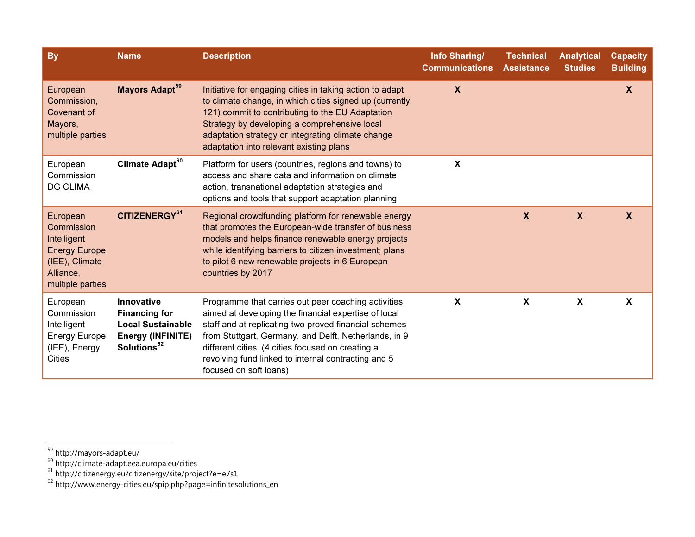| <b>By</b>                                                                                                        | <b>Name</b>                                                                                                                  | <b>Description</b>                                                                                                                                                                                                                                                                                                                                                 | Info Sharing/<br><b>Communications</b> | <b>Technical</b><br><b>Assistance</b> | <b>Analytical</b><br><b>Studies</b> | <b>Capacity</b><br><b>Building</b> |
|------------------------------------------------------------------------------------------------------------------|------------------------------------------------------------------------------------------------------------------------------|--------------------------------------------------------------------------------------------------------------------------------------------------------------------------------------------------------------------------------------------------------------------------------------------------------------------------------------------------------------------|----------------------------------------|---------------------------------------|-------------------------------------|------------------------------------|
| European<br>Commission,<br>Covenant of<br>Mayors,<br>multiple parties                                            | Mayors Adapt <sup>59</sup>                                                                                                   | Initiative for engaging cities in taking action to adapt<br>to climate change, in which cities signed up (currently<br>121) commit to contributing to the EU Adaptation<br>Strategy by developing a comprehensive local<br>adaptation strategy or integrating climate change<br>adaptation into relevant existing plans                                            | $\boldsymbol{X}$                       |                                       |                                     | $\boldsymbol{X}$                   |
| European<br>Commission<br><b>DG CLIMA</b>                                                                        | Climate Adapt <sup>60</sup>                                                                                                  | Platform for users (countries, regions and towns) to<br>access and share data and information on climate<br>action, transnational adaptation strategies and<br>options and tools that support adaptation planning                                                                                                                                                  | $\boldsymbol{\mathsf{X}}$              |                                       |                                     |                                    |
| European<br>Commission<br>Intelligent<br><b>Energy Europe</b><br>(IEE), Climate<br>Alliance,<br>multiple parties | CITIZENERGY <sup>61</sup>                                                                                                    | Regional crowdfunding platform for renewable energy<br>that promotes the European-wide transfer of business<br>models and helps finance renewable energy projects<br>while identifying barriers to citizen investment; plans<br>to pilot 6 new renewable projects in 6 European<br>countries by 2017                                                               |                                        | $\mathbf{X}$                          | $\mathbf{x}$                        | $\mathbf{X}$                       |
| European<br>Commission<br>Intelligent<br><b>Energy Europe</b><br>(IEE), Energy<br><b>Cities</b>                  | <b>Innovative</b><br><b>Financing for</b><br><b>Local Sustainable</b><br><b>Energy (INFINITE)</b><br>Solutions <sup>62</sup> | Programme that carries out peer coaching activities<br>aimed at developing the financial expertise of local<br>staff and at replicating two proved financial schemes<br>from Stuttgart, Germany, and Delft, Netherlands, in 9<br>different cities (4 cities focused on creating a<br>revolving fund linked to internal contracting and 5<br>focused on soft loans) | $\mathbf{x}$                           | $\boldsymbol{\mathsf{X}}$             | $\boldsymbol{\mathsf{X}}$           | $\boldsymbol{X}$                   |

<sup>&</sup>lt;sup>59</sup> http://mayors-adapt.eu/<br><sup>60</sup> http://climate-adapt.eea.europa.eu/cities<br><sup>61</sup> http://citizenergy.eu/citizenergy/site/project?e=e7s1<br><sup>62</sup> http://www.energy-cities.eu/spip.php?page=infinitesolutions\_en